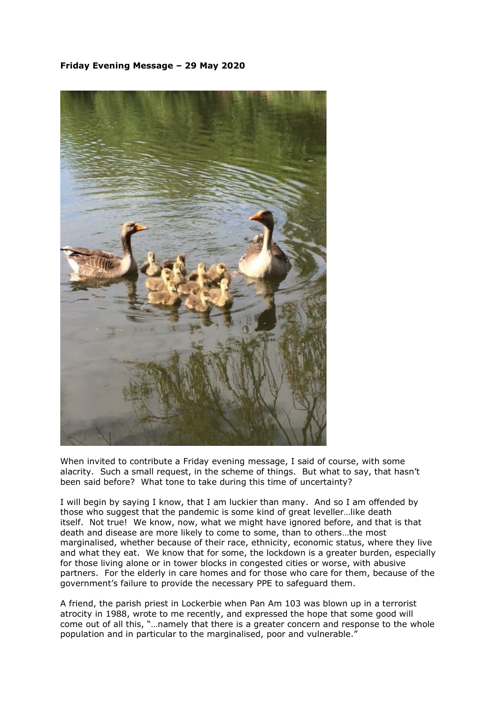## **Friday Evening Message – 29 May 2020**



When invited to contribute a Friday evening message, I said of course, with some alacrity. Such a small request, in the scheme of things. But what to say, that hasn't been said before? What tone to take during this time of uncertainty?

I will begin by saying I know, that I am luckier than many. And so I am offended by those who suggest that the pandemic is some kind of great leveller…like death itself. Not true! We know, now, what we might have ignored before, and that is that death and disease are more likely to come to some, than to others…the most marginalised, whether because of their race, ethnicity, economic status, where they live and what they eat. We know that for some, the lockdown is a greater burden, especially for those living alone or in tower blocks in congested cities or worse, with abusive partners. For the elderly in care homes and for those who care for them, because of the government's failure to provide the necessary PPE to safeguard them.

A friend, the parish priest in Lockerbie when Pan Am 103 was blown up in a terrorist atrocity in 1988, wrote to me recently, and expressed the hope that some good will come out of all this, "…namely that there is a greater concern and response to the whole population and in particular to the marginalised, poor and vulnerable."